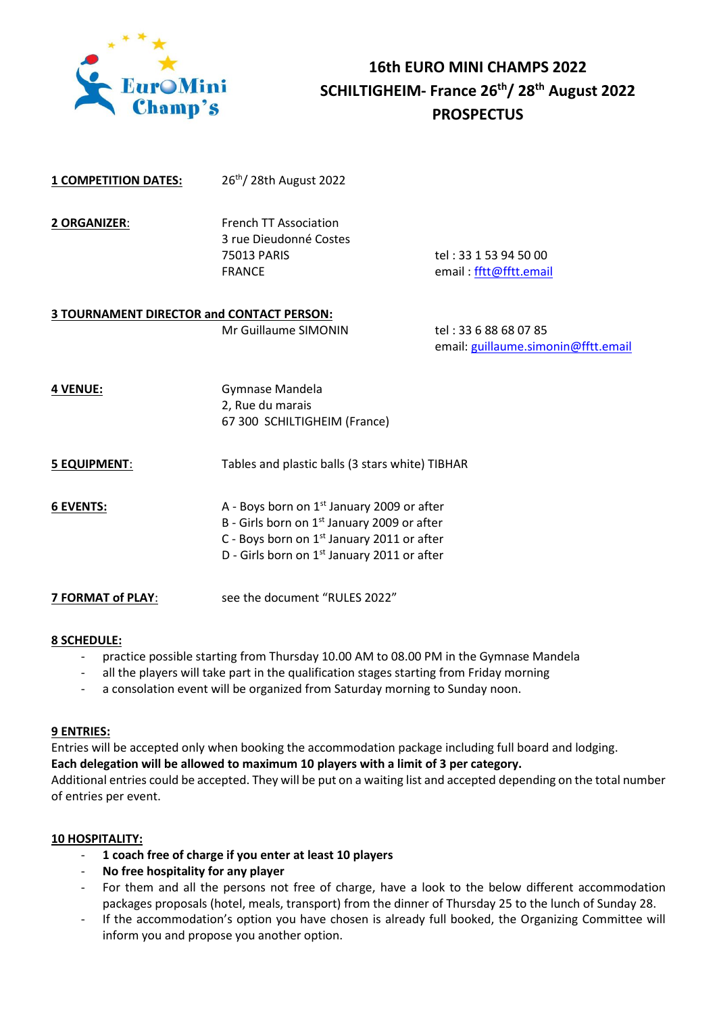

# **16th EURO MINI CHAMPS 2022 SCHILTIGHEIM- France 26 th/ 28 th August 2022 PROSPECTUS**

**1 COMPETITION DATES:** 26th/ 28th August 2022

| <b>2 ORGANIZER:</b> | <b>French TT Association</b> |                        |
|---------------------|------------------------------|------------------------|
|                     | 3 rue Dieudonné Costes       |                        |
|                     | 75013 PARIS                  | tel : 33 1 53 94 50 00 |
|                     | <b>FRANCE</b>                | email: fftt@fftt.email |

# **3 TOURNAMENT DIRECTOR and CONTACT PERSON:**

Mr Guillaume SIMONIN tel: 33 6 88 68 07 85 email: [guillaume.simonin@fftt.email](mailto:guillaume.simonin@fftt.email)

| <b>4 VENUE:</b> | Gymnase Mandela              |  |
|-----------------|------------------------------|--|
|                 | 2, Rue du marais             |  |
|                 | 67 300 SCHILTIGHEIM (France) |  |

## **5 EQUIPMENT**: Tables and plastic balls (3 stars white) TIBHAR

**6 EVENTS:** A - Boys born on 1st January 2009 or after B - Girls born on 1<sup>st</sup> January 2009 or after C - Boys born on 1<sup>st</sup> January 2011 or after D - Girls born on 1<sup>st</sup> January 2011 or after

**7 FORMAT of PLAY:** see the document "RULES 2022"

## **8 SCHEDULE:**

- practice possible starting from Thursday 10.00 AM to 08.00 PM in the Gymnase Mandela
- all the players will take part in the qualification stages starting from Friday morning
- a consolation event will be organized from Saturday morning to Sunday noon.

## **9 ENTRIES:**

Entries will be accepted only when booking the accommodation package including full board and lodging. **Each delegation will be allowed to maximum 10 players with a limit of 3 per category.**

Additional entries could be accepted. They will be put on a waiting list and accepted depending on the total number of entries per event.

## **10 HOSPITALITY:**

- **1 coach free of charge if you enter at least 10 players**
- **No free hospitality for any player**
- For them and all the persons not free of charge, have a look to the below different accommodation packages proposals (hotel, meals, transport) from the dinner of Thursday 25 to the lunch of Sunday 28.
- If the accommodation's option you have chosen is already full booked, the Organizing Committee will inform you and propose you another option.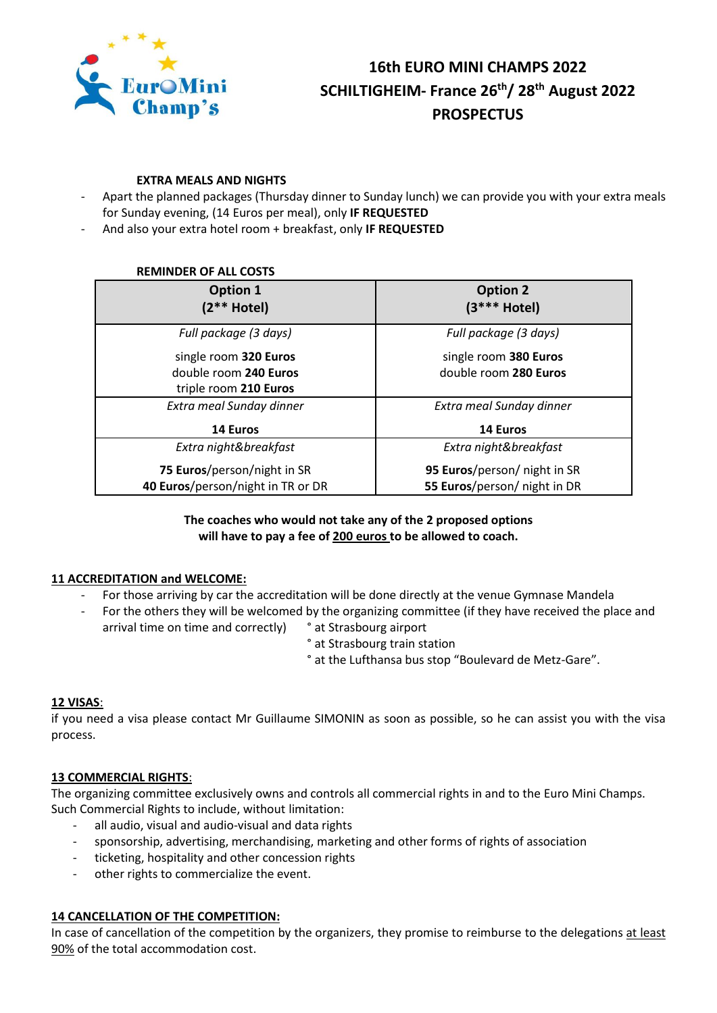

# **16th EURO MINI CHAMPS 2022 SCHILTIGHEIM- France 26 th/ 28 th August 2022 PROSPECTUS**

#### **EXTRA MEALS AND NIGHTS**

- Apart the planned packages (Thursday dinner to Sunday lunch) we can provide you with your extra meals for Sunday evening, (14 Euros per meal), only **IF REQUESTED**
- And also your extra hotel room + breakfast, only **IF REQUESTED**

#### **REMINDER OF ALL COSTS**

| Option 1<br>$(2** Hote)$          | <b>Option 2</b><br>$(3***$ Hotel) |
|-----------------------------------|-----------------------------------|
| Full package (3 days)             | Full package (3 days)             |
| single room 320 Euros             | single room 380 Euros             |
| double room 240 Euros             | double room 280 Euros             |
| triple room 210 Euros             |                                   |
| Extra meal Sunday dinner          | Extra meal Sunday dinner          |
| 14 Euros                          | 14 Euros                          |
| Extra night&breakfast             | Extra night&breakfast             |
| 75 Euros/person/night in SR       | 95 Euros/person/ night in SR      |
| 40 Euros/person/night in TR or DR | 55 Euros/person/ night in DR      |

## **The coaches who would not take any of the 2 proposed options will have to pay a fee of 200 euros to be allowed to coach.**

## **11 ACCREDITATION and WELCOME:**

- For those arriving by car the accreditation will be done directly at the venue Gymnase Mandela
- For the others they will be welcomed by the organizing committee (if they have received the place and arrival time on time and correctly) ° at Strasbourg airport
	- ° at Strasbourg train station
	- ° at the Lufthansa bus stop "Boulevard de Metz-Gare".

## **12 VISAS**:

if you need a visa please contact Mr Guillaume SIMONIN as soon as possible, so he can assist you with the visa process.

#### **13 COMMERCIAL RIGHTS**:

The organizing committee exclusively owns and controls all commercial rights in and to the Euro Mini Champs. Such Commercial Rights to include, without limitation:

- all audio, visual and audio-visual and data rights
- sponsorship, advertising, merchandising, marketing and other forms of rights of association
- ticketing, hospitality and other concession rights
- other rights to commercialize the event.

## **14 CANCELLATION OF THE COMPETITION:**

In case of cancellation of the competition by the organizers, they promise to reimburse to the delegations at least 90% of the total accommodation cost.